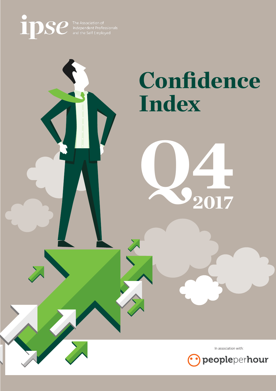

# Confidence Index

Q4 0

In association with:

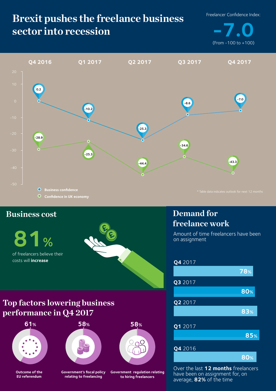# **Brexit pushes the freelance business sector into recession**

 $-7.0$ 

Freelancer Confidence Index:



### **Business cost**

**81%**

costs will **increase**



### **Top factors lowering business performance in Q4 2017**



**Outcome of the EU referendum**



**Government's fiscal policy relating to freelancing** 

**Government regulation relating to hiring freelancers**

### **Demand for freelance work**

Amount of time freelancers have been on assignment



Over the last **12 months** freelancers have been on assignment for, on average, **82%** of the time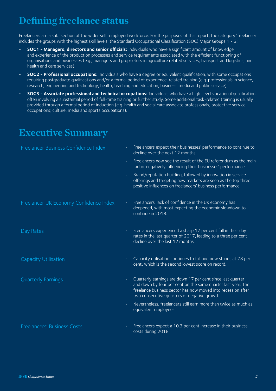# **Defining freelance status**

Freelancers are a sub-section of the wider self-employed workforce. For the purposes of this report, the category 'freelancer' includes the groups with the highest skill levels, the Standard Occupational Classification (SOC) Major Groups 1 - 3:

- **• SOC1 Managers, directors and senior officials:** Individuals who have a significant amount of knowledge and experience of the production processes and service requirements associated with the efficient functioning of organisations and businesses (e.g., managers and proprietors in agriculture related services; transport and logistics; and health and care services).
- **• SOC2 Professional occupations:** Individuals who have a degree or equivalent qualification, with some occupations requiring postgraduate qualifications and/or a formal period of experience-related training (e.g. professionals in science, research, engineering and technology; health; teaching and education; business, media and public service).
- **• SOC3 Associate professional and technical occupations:** Individuals who have a high-level vocational qualification, often involving a substantial period of full-time training or further study. Some additional task-related training is usually provided through a formal period of induction (e.g. health and social care associate professionals; protective service occupations; culture, media and sports occupations).

### **Executive Summary**

| Freelancer Business Confidence Index   |           | Freelancers expect their businesses' performance to continue to<br>decline over the next 12 months.                                                                                                                                        |
|----------------------------------------|-----------|--------------------------------------------------------------------------------------------------------------------------------------------------------------------------------------------------------------------------------------------|
|                                        | $\bullet$ | Freelancers now see the result of the EU referendum as the main<br>factor negatively influencing their businesses' performance.                                                                                                            |
|                                        | $\bullet$ | Brand/reputation building, followed by innovation in service<br>offerings and targeting new markets are seen as the top three<br>positive influences on freelancers' business performance.                                                 |
| Freelancer UK Economy Confidence Index | $\bullet$ | Freelancers' lack of confidence in the UK economy has<br>deepened, with most expecting the economic slowdown to<br>continue in 2018.                                                                                                       |
| Day Rates                              | $\bullet$ | Freelancers experienced a sharp 17 per cent fall in their day<br>rates in the last quarter of 2017, leading to a three per cent<br>decline over the last 12 months.                                                                        |
| Capacity Utilisation                   | $\bullet$ | Capacity utilisation continues to fall and now stands at 78 per<br>cent, which is the second lowest score on record.                                                                                                                       |
| <b>Quarterly Earnings</b>              | $\bullet$ | Quarterly earnings are down 17 per cent since last quarter<br>and down by four per cent on the same quarter last year. The<br>freelance business sector has now moved into recession after<br>two consecutive quarters of negative growth. |
|                                        | $\bullet$ | Nevertheless, freelancers still earn more than twice as much as<br>equivalent employees.                                                                                                                                                   |
| <b>Freelancers' Business Costs</b>     | $\bullet$ | Freelancers expect a 10.3 per cent increase in their business<br>costs during 2018.                                                                                                                                                        |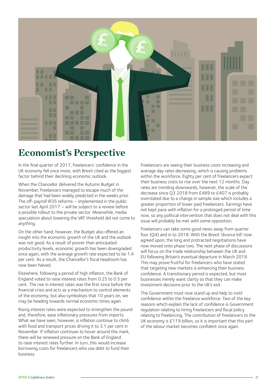

# **Economist's Perspective**

In the final quarter of 2017, freelancers' confidence in the UK economy fell once more, with Brexit cited as the biggest factor behind their declining economic outlook.

When the Chancellor delivered the Autumn Budget in November, freelancers managed to escape much of the damage that had been widely predicted in the weeks prior. The off-payroll IR35 reforms – implemented in the public sector last April 2017 – will be subject to a review before a possible rollout to the private sector. Meanwhile, media speculation about lowering the VAT threshold did not come to anything.

On the other hand, however, the Budget also offered an insight into the economic growth of the UK and the outlook was not good. As a result of poorer than anticipated productivity levels, economic growth has been downgraded once again, with the average growth rate expected to be 1.4 per cent. As a result, the Chancellor's fiscal headroom has now been halved.

Elsewhere, following a period of high inflation, the Bank of England voted to raise interest rates from 0.25 to 0.5 per cent. The rise in interest rates was the first since before the financial crisis and acts as a mechanism to control elements of the economy, but also symbolises that 10 years on, we may be heading towards normal economic times again.

Rising interest rates were expected to strengthen the pound and, therefore, ease inflationary pressures from imports. What we have seen, however, is inflation continue to climb with food and transport prices driving it to 3.1 per cent in November. If inflation continues to hover around this mark, there will be renewed pressure on the Bank of England to raise interest rates further. In turn, this would increase borrowing costs for freelancers who use debt to fund their business.

Freelancers are seeing their business costs increasing and average day rates decreasing, which is causing problems within the workforce. Eighty per cent of freelancers expect their business costs to rise over the next 12 months. Day rates are trending downwards, however, the scale of the decrease since Q3 2018 from £489 to £407 is probably overstated due to a change in sample size which includes a greater proportion of lower paid freelancers. Earnings have not kept pace with inflation for a prolonged period of time now, so any political intervention that does not deal with this issue will probably be met with some opposition.

Freelancers can take some good news away from quarter four (Q4) and in to 2018. With the Brexit 'divorce bill' now agreed upon, the long and protracted negotiations have now moved onto phase two. The next phase of discussions will focus on the trade relationship between the UK and EU following Britain's eventual departure in March 2019. This may prove fruitful for freelancers who have stated that targeting new markets is enhancing their business confidence. A transitionary period is expected, but most businesses merely want clarity so that they can make investment decisions prior to the UK's exit.

The Government must now stand up and help to instil confidence within the freelance workforce. Two of the key reasons which explain the lack of confidence is Government regulation relating to hiring freelancers and fiscal policy relating to freelancing. The contribution of freelancers to the UK economy is £119 billion, so it is important that this part of the labour market becomes confident once again.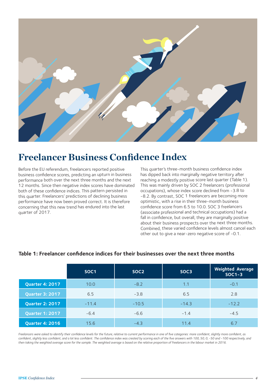

### **Freelancer Business Confidence Index**

Before the EU referendum, freelancers reported positive business confidence scores, predicting an upturn in business performance both over the next three months and the next 12 months. Since then negative index scores have dominated both of these confidence indices. This pattern persisted in this quarter. Freelancers' predictions of declining business performance have now been proved correct. It is therefore concerning that this new trend has endured into the last quarter of 2017.

This quarter's three-month business confidence index has dipped back into marginally negative territory after reaching a modestly positive score last quarter (Table 1). This was mainly driven by SOC 2 freelancers (professional occupations), whose index score declined from -3.8 to -8.2. By contrast, SOC 1 freelancers are becoming more optimistic, with a rise in their three-month business confidence score from 6.5 to 10.0. SOC 3 freelancers (associate professional and technical occupations) had a fall in confidence, but overall, they are marginally positive about their business prospects over the next three months. Combined, these varied confidence levels almost cancel each other out to give a near-zero negative score of -0.1.

|                        | SOC <sub>1</sub> | SOC <sub>2</sub> | SOC <sub>3</sub> | <b>Weighted Average</b><br>$SOC1-3$ |
|------------------------|------------------|------------------|------------------|-------------------------------------|
| <b>Quarter 4: 2017</b> | 10.0             | $-8.2$           | 1.1              | $-0.1$                              |
| <b>Quarter 3: 2017</b> | 6.5              | $-3.8$           | 6.5              | 2.8                                 |
| <b>Quarter 2: 2017</b> | $-11.4$          | $-10.5$          | $-14.3$          | $-12.2$                             |
| <b>Quarter 1: 2017</b> | $-6.4$           | $-6.6$           | $-1.4$           | $-4.5$                              |
| <b>Quarter 4: 2016</b> | 15.6             | $-4.3$           | 11.4             | 6.7                                 |

#### **Table 1: Freelancer confidence indices for their businesses over the next three months**

Freelancers were asked to identify their confidence levels for the future, relative to current performance in one of five categories: more confident, slightly more confident, as confident, slightly less confident, and a lot less confident. The confidence index was created by scoring each of the five answers with 100, 50, 0, -50 and -100 respectively, and *then taking the weighted average score for the sample. The weighted average is based on the relative proportion of freelancers in the labour market in 2016.*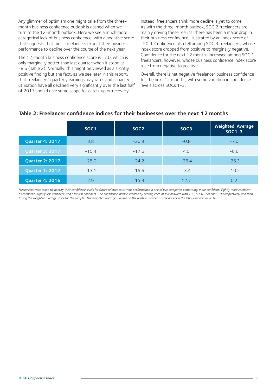Any glimmer of optimism one might take from the threemonth business confidence outlook is dashed when we turn to the 12-month outlook. Here we see a much more categorical lack of business confidence, with a negative score that suggests that most freelancers expect their business performance to decline over the course of the next year.

The 12-month business confidence score is -7.0, which is only marginally better than last quarter when it stood at -8.6 (Table 2). Normally, this might be viewed as a slightly positive finding but the fact, as we see later in this report, that freelancers' quarterly earnings, day rates and capacity utilisation have all declined very significantly over the last half of 2017 should give some scope for catch-up or recovery.

Instead, freelancers think more decline is yet to come. As with the three-month outlook, SOC 2 freelancers are mainly driving these results: there has been a major drop in their business confidence, illustrated by an index score of -20.9. Confidence also fell among SOC 3 freelancers, whose index score dropped from positive to marginally negative. Confidence for the next 12 months increased among SOC 1 freelancers, however, whose business confidence index score rose from negative to positive.

Overall, there is net negative freelancer business confidence for the next 12 months, with some variation in confidence levels across SOCs 1-3.

|                        | SOC <sub>1</sub> | SOC <sub>2</sub> | SOC <sub>3</sub> | <b>Weighted Average</b><br>$SOC1-3$ |
|------------------------|------------------|------------------|------------------|-------------------------------------|
| <b>Quarter 4: 2017</b> | 3.8              | $-20.9$          | $-0.8$           | $-7.0$                              |
| <b>Quarter 3: 2017</b> | $-15.4$          | $-17.6$          | 4.0              | $-8.6$                              |
| <b>Quarter 2: 2017</b> | $-25.0$          | $-24.2$          | $-26.4$          | $-25.3$                             |
| <b>Quarter 1: 2017</b> | $-13.1$          | $-15.6$          | $-3.4$           | $-10.2$                             |
| <b>Quarter 4: 2016</b> | 2.9              | $-15.9$          | 12.7             | 0.2                                 |

#### **Table 2: Freelancer confidence indices for their businesses over the next 12 months**

Freelancers were asked to identify their confidence levels for future relative to current performance in one of five categories comprising: more confident, slightly more confident, as confident, slightly less confident, and a lot less confident. The confidence index is created by scoring each of five answers with 100, 50, 0, -50 and -100 respectively and then *taking the weighted average score for the sample. The weighted average is based on the relative number of freelancers in the labour market in 2016.*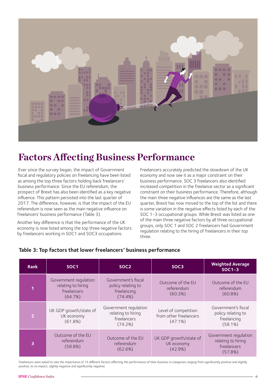

### **Factors Affecting Business Performance**

Ever since the survey began, the impact of Government fiscal and regulatory policies on freelancing have been listed as among the top three factors holding back freelancers' business performance. Since the EU referendum, the prospect of Brexit has also been identified as a key negative influence. This pattern persisted into the last quarter of 2017. The difference, however, is that the impact of the EU referendum is now seen as the main negative influence on freelancers' business performance (Table 3).

Another key difference is that the performance of the UK economy is now listed among the top three negative factors by freelancers working in SOC1 and SOC3 occupations.

Freelancers accurately predicted the slowdown of the UK economy and now see it as a major constraint on their business performance. SOC 3 freelancers also identified increased competition in the freelance sector as a significant constraint on their business performance. Therefore, although the main three negative influences are the same as the last quarter, Brexit has now moved to the top of the list and there is some variation in the negative effects listed by each of the SOC 1-3 occupational groups. While Brexit was listed as one of the main three negative factors by all three occupational groups, only SOC 1 and SOC 2 freelancers had Government regulation relating to the hiring of freelancers in their top three.

| <b>Rank</b>    | SOC <sub>1</sub>                                                      | SOC <sub>2</sub>                                                      | SOC <sub>3</sub>                                             | <b>Weighted Average</b><br>$SOC1-3$                                   |
|----------------|-----------------------------------------------------------------------|-----------------------------------------------------------------------|--------------------------------------------------------------|-----------------------------------------------------------------------|
| 1              | Government regulation<br>relating to hiring<br>freelancers<br>(64.7%) | Government's fiscal<br>policy relating to<br>freelancing<br>(74.4%)   | Outcome of the EU<br>referendum<br>(60.3%)                   | Outcome of the EU<br>referendum<br>(60.8%)                            |
| $\overline{2}$ | UK GDP growth/state of<br>UK economy<br>(61.8%)                       | Government regulation<br>relating to hiring<br>freelancers<br>(74.2%) | Level of competition<br>from other freelancers<br>$(47.1\%)$ | Government's fiscal<br>policy relating to<br>freelancing<br>(58.1%)   |
| 3              | Outcome of the EU<br>referendum<br>(58.8%)                            | Outcome of the EU<br>referendum<br>(62.6%)                            | UK GDP growth/state of<br>UK economy<br>(42.9%)              | Government regulation<br>relating to hiring<br>freelancers<br>(57.8%) |

#### **Table 3: Top factors that lower freelancers' business performance**

Freelancers were asked to rate the importance of 15 different factors affecting the performance of their business in categories ranging from significantly positive and slightly *positive, to no impact, slightly negative and significantly negative.*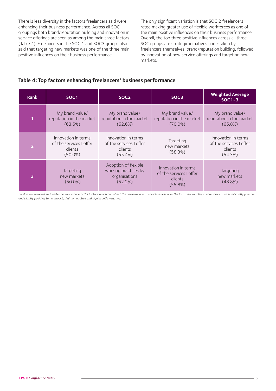There is less diversity in the factors freelancers said were enhancing their business performance. Across all SOC groupings both brand/reputation building and innovation in service offerings are seen as among the main three factors (Table 4). Freelancers in the SOC 1 and SOC3 groups also said that targeting new markets was one of the three main positive influences on their business performance.

The only significant variation is that SOC 2 freelancers rated making greater use of flexible workforces as one of the main positive influences on their business performance. Overall, the top three positive influences across all three SOC groups are strategic initiatives undertaken by freelancers themselves: brand/reputation building, followed by innovation of new service offerings and targeting new markets.

#### **Table 4: Top factors enhancing freelancers' business performance**

| <b>Rank</b>    | SOC <sub>1</sub>                                                        | SOC <sub>2</sub>                                                         | SOC <sub>3</sub>                                                     | <b>Weighted Average</b><br>$SOC1-3$                                  |
|----------------|-------------------------------------------------------------------------|--------------------------------------------------------------------------|----------------------------------------------------------------------|----------------------------------------------------------------------|
| 1              | My brand value/<br>reputation in the market<br>(63.6%)                  | My brand value/<br>reputation in the market<br>(62.6%)                   | My brand value/<br>reputation in the market<br>$(70.0\%)$            | My brand value/<br>reputation in the market<br>(65.8%)               |
| $\overline{2}$ | Innovation in terms<br>of the services I offer<br>clients<br>$(50.0\%)$ | Innovation in terms<br>of the services I offer<br>clients<br>(55.4%)     | Targeting<br>new markets<br>(58.3%)                                  | Innovation in terms<br>of the services I offer<br>clients<br>(54.3%) |
| 3              | Targeting<br>new markets<br>$(50.0\%)$                                  | Adoption of flexible<br>working practices by<br>organisations<br>(52.2%) | Innovation in terms<br>of the services I offer<br>clients<br>(55.8%) | Targeting<br>new markets<br>(48.8%)                                  |

Freelancers were asked to rate the importance of 15 factors which can affect the performance of their business over the last three months in categories from significantly positive *and slightly positive, to no impact, slightly negative and significantly negative.*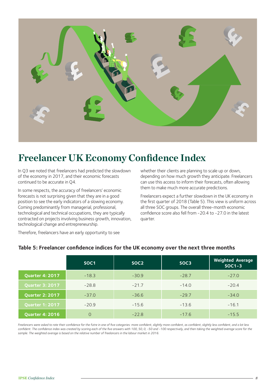

# **Freelancer UK Economy Confidence Index**

In Q3 we noted that freelancers had predicted the slowdown of the economy in 2017, and their economic forecasts continued to be accurate in Q4.

In some respects, the accuracy of freelancers' economic forecasts is not surprising given that they are in a good position to see the early indicators of a slowing economy. Coming predominantly from managerial, professional, technological and technical occupations, they are typically contracted on projects involving business growth, innovation, technological change and entrepreneurship.

whether their clients are planning to scale up or down, depending on how much growth they anticipate. Freelancers can use this access to inform their forecasts, often allowing them to make much more accurate predictions.

Freelancers expect a further slowdown in the UK economy in the first quarter of 2018 (Table 5). This view is uniform across all three SOC groups. The overall three-month economic confidence score also fell from -20.4 to -27.0 in the latest quarter.

Therefore, freelancers have an early opportunity to see

|                        | SOC1     | SOC <sub>2</sub> | SOC <sub>3</sub> | <b>Weighted Average</b><br>$SOC1-3$ |
|------------------------|----------|------------------|------------------|-------------------------------------|
| <b>Quarter 4: 2017</b> | $-18.3$  | $-30.9$          | $-28.7$          | $-27.0$                             |
| <b>Quarter 3: 2017</b> | $-28.8$  | $-21.7$          | $-14.0$          | $-20.4$                             |
| <b>Quarter 2: 2017</b> | $-37.0$  | $-36.6$          | $-29.7$          | $-34.0$                             |
| <b>Quarter 1: 2017</b> | $-20.9$  | $-15.6$          | $-13.6$          | $-16.1$                             |
| <b>Quarter 4: 2016</b> | $\Omega$ | $-22.8$          | $-17.6$          | $-15.5$                             |

#### **Table 5: Freelancer confidence indices for the UK economy over the next three months**

Freelancers were asked to rate their confidence for the futre in one of five categories: more confident, slightly more confident, as confident, slightly less confident, and a lot less *confident. The confidence index was created by scoring each of the five answers with 100, 50, 0, -50 and -100 respectively, and then taking the weighted average score for the sample. The weighted average is based on the relative number of freelancers in the labour market in 2016.*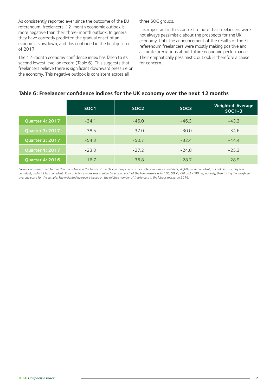As consistently reported ever since the outcome of the EU referendum, freelancers' 12-month economic outlook is more negative than their three-month outlook. In general, they have correctly predicted the gradual onset of an economic slowdown, and this continued in the final quarter of 2017.

The 12-month economy confidence index has fallen to its second lowest level on record (Table 6). This suggests that freelancers believe there is significant downward pressure on the economy. This negative outlook is consistent across all

three SOC groups.

It is important in this context to note that freelancers were not always pessimistic about the prospects for the UK economy. Until the announcement of the results of the EU referendum freelancers were mostly making positive and accurate predictions about future economic performance. Their emphatically pessimistic outlook is therefore a cause for concern.

|                        | SOC <sub>1</sub> | SOC <sub>2</sub> | SOC <sub>3</sub> | <b>Weighted Average</b><br>$SOC1-3$ |
|------------------------|------------------|------------------|------------------|-------------------------------------|
| Quarter 4: 2017        | $-34.1$          | $-46.0$          | $-46.3$          | $-43.3$                             |
| <b>Quarter 3: 2017</b> | $-38.5$          | $-37.0$          | $-30.0$          | $-34.6$                             |
| <b>Quarter 2: 2017</b> | $-54.3$          | $-50.7$          | $-32.4$          | $-44.4$                             |
| <b>Quarter 1: 2017</b> | $-23.3$          | $-27.2$          | $-24.8$          | $-25.3$                             |
| <b>Quarter 4: 2016</b> | $-16.7$          | $-36.8$          | $-28.7$          | $-28.9$                             |

#### **Table 6: Freelancer confidence indices for the UK economy over the next 12 months**

*Freelancers were asked to rate their confidence in the future of the UK economy in one of five categories: more confident, slightly more confident, as confident, slightly less confident, and a lot less confident. The confidence index was created by scoring each of the five answers with 100, 50, 0, -50 and -100 respectively, then taking the weighted average score for the sample. The weighted average is based on the relative number of freelancers in the labour market in 2016.*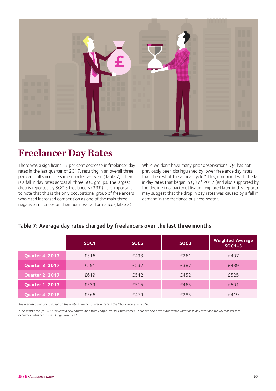

# **Freelancer Day Rates**

There was a significant 17 per cent decrease in freelancer day rates in the last quarter of 2017, resulting in an overall three per cent fall since the same quarter last year (Table 7). There is a fall in day rates across all three SOC groups. The largest drop is reported by SOC 3 freelancers (33%). It is important to note that this is the only occupational group of freelancers who cited increased competition as one of the main three negative influences on their business performance (Table 3).

While we don't have many prior observations, Q4 has not previously been distinguished by lower freelance day rates than the rest of the annual cycle.\* This, combined with the fall in day rates that began in Q3 of 2017 (and also supported by the decline in capacity utilisation explored later in this report) may suggest that the drop in day rates was caused by a fall in demand in the freelance business sector.

|                        | SOC <sub>1</sub> | SOC <sub>2</sub> | SOC <sub>3</sub> | <b>Weighted Average</b><br>$SOC1-3$ |
|------------------------|------------------|------------------|------------------|-------------------------------------|
| <b>Quarter 4: 2017</b> | £516             | £493             | £261             | £407                                |
| <b>Quarter 3: 2017</b> | £591             | £532             | £387             | £489                                |
| <b>Quarter 2: 2017</b> | £619             | £542             | £452             | £525                                |
| <b>Quarter 1: 2017</b> | £539             | £515             | £465             | £501                                |
| <b>Quarter 4: 2016</b> | £566             | £479             | £285             | £419                                |

#### **Table 7: Average day rates charged by freelancers over the last three months**

*The weighted average is based on the relative number of freelancers in the labour market in 2016.*

*\*The sample for Q4 2017 includes a new contribution from People Per Hour freelancers. There has also been a noticeable variation in day rates and we will monitor it to determine whether this is a long-term trend.*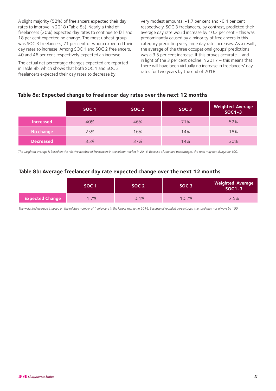A slight majority (52%) of freelancers expected their day rates to improve in 2018 (Table 8a). Nearly a third of freelancers (30%) expected day rates to continue to fall and 18 per cent expected no change. The most upbeat group was SOC 3 freelancers, 71 per cent of whom expected their day rates to increase. Among SOC 1 and SOC 2 freelancers, 40 and 46 per cent respectively expected an increase.

The actual net percentage changes expected are reported in Table 8b, which shows that both SOC 1 and SOC 2 freelancers expected their day rates to decrease by

very modest amounts: -1.7 per cent and -0.4 per cent respectively. SOC 3 freelancers, by contrast, predicted their average day rate would increase by 10.2 per cent - this was predominantly caused by a minority of freelancers in this category predicting very large day rate increases. As a result, the average of the three occupational groups' predictions was a 3.5 per cent increase. If this proves accurate – and in light of the 3 per cent decline in 2017 – this means that there will have been virtually no increase in freelancers' day rates for two years by the end of 2018.

#### **Table 8a: Expected change to freelancer day rates over the next 12 months**

|                  | SOC <sub>1</sub> | SOC <sub>2</sub> | SOC <sub>3</sub> | Weighted Average<br>SOC1-3 |
|------------------|------------------|------------------|------------------|----------------------------|
| <b>Increased</b> | 40%              | 46%              | 71%              | 52%                        |
| No change        | 25%              | 16%              | 14%              | 18%                        |
| <b>Decreased</b> | 35%              | 37%              | 14%              | 30%                        |

*The weighted average is based on the relative number of freelancers in the labour market in 2016. Because of rounded percentages, the total may not always be 100.*

#### **Table 8b: Average freelancer day rate expected change over the next 12 months**

|                        | SOC <sub>1</sub> | SOC 2'  | SOC <sub>3</sub> | <b>Weighted Average</b><br>$SOC1-3$ |
|------------------------|------------------|---------|------------------|-------------------------------------|
| <b>Expected Change</b> | $-1.7%$          | $-0.4%$ | 10.2%            | 3.5%                                |

*The weighted average is based on the relative number of freelancers in the labour market in 2016. Because of rounded percentages, the total may not always be 100.*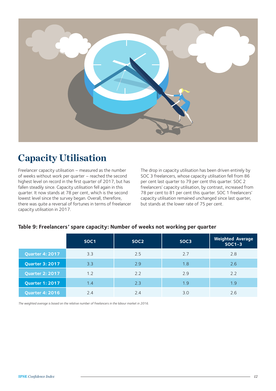

# **Capacity Utilisation**

Freelancer capacity utilisation – measured as the number of weeks without work per quarter – reached the second highest level on record in the first quarter of 2017, but has fallen steadily since. Capacity utilisation fell again in this quarter. It now stands at 78 per cent, which is the second lowest level since the survey began. Overall, therefore, there was quite a reversal of fortunes in terms of freelancer capacity utilisation in 2017.

The drop in capacity utilisation has been driven entirely by SOC 3 freelancers, whose capacity utilisation fell from 86 per cent last quarter to 79 per cent this quarter. SOC 2 freelancers' capacity utilisation, by contrast, increased from 78 per cent to 81 per cent this quarter. SOC 1 freelancers' capacity utilisation remained unchanged since last quarter, but stands at the lower rate of 75 per cent.

|                        | SOC <sub>1</sub> | SOC <sub>2</sub> | SOC <sub>3</sub> | <b>Weighted Average</b><br>$SOC1-3$ |
|------------------------|------------------|------------------|------------------|-------------------------------------|
| <b>Quarter 4: 2017</b> | 3.3              | 2.5              | 2.7              | 2.8                                 |
| <b>Quarter 3: 2017</b> | 3.3              | 2.9              | 1.8              | 2.6                                 |
| <b>Quarter 2: 2017</b> | 1.2              | 2.2              | 2.9              | 2.2                                 |
| <b>Quarter 1: 2017</b> | 1.4              | 2.3              | 1.9              | 1.9                                 |
| <b>Quarter 4: 2016</b> | 2.4              | 2.4              | 3.0              | 2.6                                 |

#### **Table 9: Freelancers' spare capacity: Number of weeks not working per quarter**

*The weighted average is based on the relative number of freelancers in the labour market in 2016.*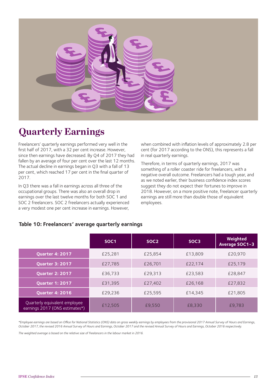

# **Quarterly Earnings**

Freelancers' quarterly earnings performed very well in the first half of 2017, with a 32 per cent increase. However, since then earnings have decreased. By Q4 of 2017 they had fallen by an average of four per cent over the last 12 months. The actual decline in earnings began in Q3 with a fall of 13 per cent, which reached 17 per cent in the final quarter of 2017.

In Q3 there was a fall in earnings across all three of the occupational groups. There was also an overall drop in earnings over the last twelve months for both SOC 1 and SOC 2 freelancers. SOC 2 freelancers actually experienced a very modest one per cent increase in earnings. However,

when combined with inflation levels of approximately 2.8 per cent (for 2017 according to the ONS), this represents a fall in real quarterly earnings.

Therefore, in terms of quarterly earnings, 2017 was something of a roller coaster ride for freelancers, with a negative overall outcome. Freelancers had a tough year, and as we noted earlier, their business confidence index scores suggest they do not expect their fortunes to improve in 2018. However, on a more positive note, freelancer quarterly earnings are still more than double those of equivalent employees.

|                                                                 | SOC <sub>1</sub> | SOC <sub>2</sub> | SOC <sub>3</sub> | Weighted<br><b>Average SOC1-3</b> |
|-----------------------------------------------------------------|------------------|------------------|------------------|-----------------------------------|
| <b>Quarter 4: 2017</b>                                          | £25,281          | £25.854          | £13,809          | £20.970                           |
| <b>Quarter 3: 2017</b>                                          | £27,785          | £26,701          | £22.174          | £25,179                           |
| <b>Quarter 2: 2017</b>                                          | £36,733          | £29,313          | £23.583          | £28.847                           |
| <b>Quarter 1: 2017</b>                                          | £31.395          | £27,402          | £26.168          | £27,832                           |
| <b>Quarter 4: 2016</b>                                          | £29,236          | £25,595          | £14.345          | £21.805                           |
| Quarterly equivalent employee<br>earnings 2017 (ONS estimates*) | £12,505          | £9,550           | £8.330           | £9,783                            |

#### **Table 10: Freelancers' average quarterly earnings**

*\*Employee earnings are based on Office for National Statistics (ONS) data on gross weekly earnings by employees from the provisional 2017 Annual Survey of Hours and Earnings, October 2017, the revised 2016 Annual Survey of Hours and Earnings, October 2017 and the revised Annual Survey of Hours and Earnings, October 2016 respectively.* 

*The weighted average is based on the relative size of freelancers in the labour market in 2016.*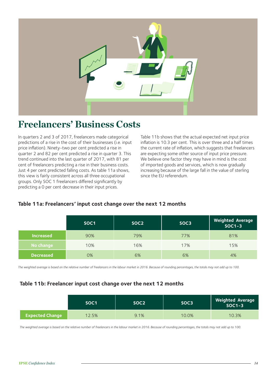

# **Freelancers' Business Costs**

In quarters 2 and 3 of 2017, freelancers made categorical predictions of a rise in the cost of their businesses (i.e. input price inflation). Ninety-two per cent predicted a rise in quarter 2 and 82 per cent predicted a rise in quarter 3. This trend continued into the last quarter of 2017, with 81 per cent of freelancers predicting a rise in their business costs. Just 4 per cent predicted falling costs. As table 11a shows, this view is fairly consistent across all three occupational groups. Only SOC 1 freelancers differed significantly by predicting a 0 per cent decrease in their input prices.

Table 11b shows that the actual expected net input price inflation is 10.3 per cent. This is over three and a half times the current rate of inflation, which suggests that freelancers are expecting some other source of input price pressure. We believe one factor they may have in mind is the cost of imported goods and services, which is now gradually increasing because of the large fall in the value of sterling since the EU referendum.

#### **Table 11a: Freelancers' input cost change over the next 12 months**

|                  | SOC <sub>1</sub> | SOC <sub>2</sub> | SOC <sub>3</sub> | <b>Weighted Average</b><br>$SOC1-3$ |
|------------------|------------------|------------------|------------------|-------------------------------------|
| <b>Increased</b> | 90%              | 79%              | 77%              | 81%                                 |
| No change        | 10%              | 16%              | 17%              | 15%                                 |
| <b>Decreased</b> | 0%               | 6%               | 6%               | 4%                                  |

*The weighted average is based on the relative number of freelancers in the labour market in 2016. Because of rounding percentages, the totals may not add up to 100.*

#### **Table 11b: Freelancer input cost change over the next 12 months**

|                        | SOC <sub>1</sub> | SOC <sub>2</sub> | SOC <sub>3</sub> | <b>Weighted Average</b><br>$SOC1-3$ |
|------------------------|------------------|------------------|------------------|-------------------------------------|
| <b>Expected Change</b> | 12.5%            | 9.1%             | 10.0%            | 10.3%                               |

*The weighted average is based on the relative number of freelancers in the labour market in 2016. Because of rounding percentages, the totals may not add up to 100.*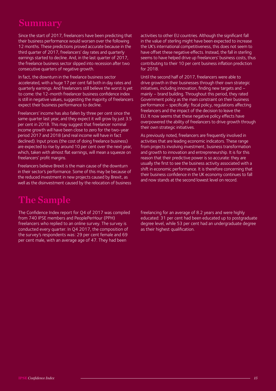### **Summary**

Since the start of 2017, freelancers have been predicting that their business performance would worsen over the following 12 months. These predictions proved accurate because in the third quarter of 2017, freelancers' day rates and quarterly earnings started to decline. And, in the last quarter of 2017, the freelance business sector slipped into recession after two consecutive quarters of negative growth.

In fact, the downturn in the freelance business sector accelerated, with a huge 17 per cent fall both in day rates and quarterly earnings. And freelancers still believe the worst is yet to come: the 12-month freelancer business confidence index is still in negative values, suggesting the majority of freelancers expect their business performance to decline.

Freelancers' income has also fallen by three per cent since the same quarter last year, and they expect it will grow by just 3.5 per cent in 2018. This may suggest that freelancer nominal income growth will have been close to zero for the two-year period 2017 and 2018 (and real income will have in fact declined). Input prices (the cost of doing freelance business) are expected to rise by around 10 per cent over the next year, which, taken with almost flat earnings, will mean a squeeze on freelancers' profit margins.

Freelancers believe Brexit is the main cause of the downturn in their sector's performance. Some of this may be because of the reduced investment in new projects caused by Brexit, as well as the disinvestment caused by the relocation of business

# **The Sample**

The Confidence Index report for Q4 of 2017 was compiled from 740 IPSE members and PeoplePerHour (PPH) freelancers who replied to an online survey. The survey is conducted every quarter. In Q4 2017, the composition of the survey's respondents was: 29 per cent female and 69 per cent male, with an average age of 47. They had been

activities to other EU countries. Although the significant fall in the value of sterling might have been expected to increase the UK's international competitiveness, this does not seem to have offset these negative effects. Instead, the fall in sterling seems to have helped drive up freelancers' business costs, thus contributing to their 10 per cent business inflation prediction for 2018.

Until the second half of 2017, freelancers were able to drive growth in their businesses through their own strategic initiatives, including innovation, finding new targets and – mainly – brand building. Throughout this period, they rated Government policy as the main constraint on their business performance – specifically: fiscal policy, regulations affecting freelancers and the impact of the decision to leave the EU. It now seems that these negative policy effects have overpowered the ability of freelancers to drive growth through their own strategic initiatives.

As previously noted, freelancers are frequently involved in activities that are leading economic indicators. These range from projects involving investment, business transformation and growth to innovation and entrepreneurship. It is for this reason that their predictive power is so accurate: they are usually the first to see the business activity associated with a shift in economic performance. It is therefore concerning that their business confidence in the UK economy continues to fall and now stands at the second lowest level on record.

freelancing for an average of 8.2 years and were highly educated: 31 per cent had been educated up to postgraduate degree level, while 53 per cent had an undergraduate degree as their highest qualification.